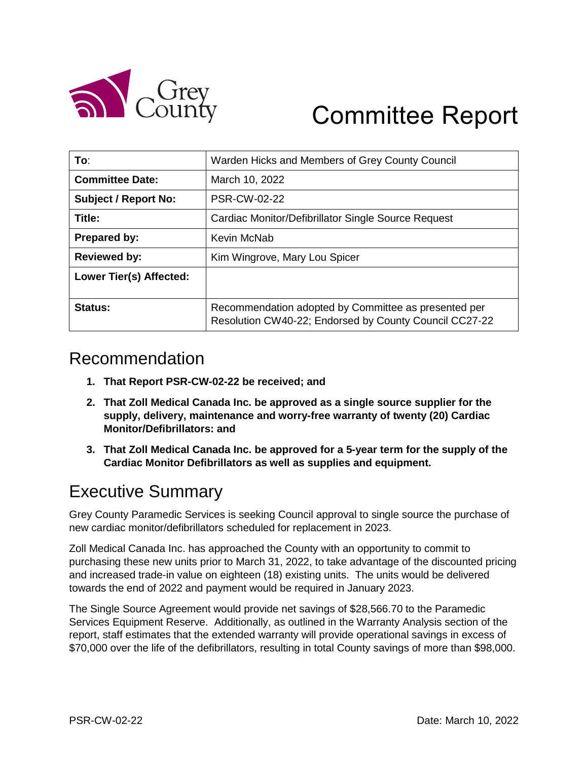

# Committee Report

| To:                         | Warden Hicks and Members of Grey County Council                                                                |  |
|-----------------------------|----------------------------------------------------------------------------------------------------------------|--|
| <b>Committee Date:</b>      | March 10, 2022                                                                                                 |  |
| <b>Subject / Report No:</b> | <b>PSR-CW-02-22</b>                                                                                            |  |
| Title:                      | Cardiac Monitor/Defibrillator Single Source Request                                                            |  |
| <b>Prepared by:</b>         | Kevin McNab                                                                                                    |  |
| <b>Reviewed by:</b>         | Kim Wingrove, Mary Lou Spicer                                                                                  |  |
| Lower Tier(s) Affected:     |                                                                                                                |  |
| Status:                     | Recommendation adopted by Committee as presented per<br>Resolution CW40-22; Endorsed by County Council CC27-22 |  |

### Recommendation

- **1. That Report PSR-CW-02-22 be received; and**
- **2. That Zoll Medical Canada Inc. be approved as a single source supplier for the supply, delivery, maintenance and worry-free warranty of twenty (20) Cardiac Monitor/Defibrillators: and**
- **3. That Zoll Medical Canada Inc. be approved for a 5-year term for the supply of the Cardiac Monitor Defibrillators as well as supplies and equipment.**

### Executive Summary

Grey County Paramedic Services is seeking Council approval to single source the purchase of new cardiac monitor/defibrillators scheduled for replacement in 2023.

Zoll Medical Canada Inc. has approached the County with an opportunity to commit to purchasing these new units prior to March 31, 2022, to take advantage of the discounted pricing and increased trade-in value on eighteen (18) existing units. The units would be delivered towards the end of 2022 and payment would be required in January 2023.

The Single Source Agreement would provide net savings of \$28,566.70 to the Paramedic Services Equipment Reserve. Additionally, as outlined in the Warranty Analysis section of the report, staff estimates that the extended warranty will provide operational savings in excess of \$70,000 over the life of the defibrillators, resulting in total County savings of more than \$98,000.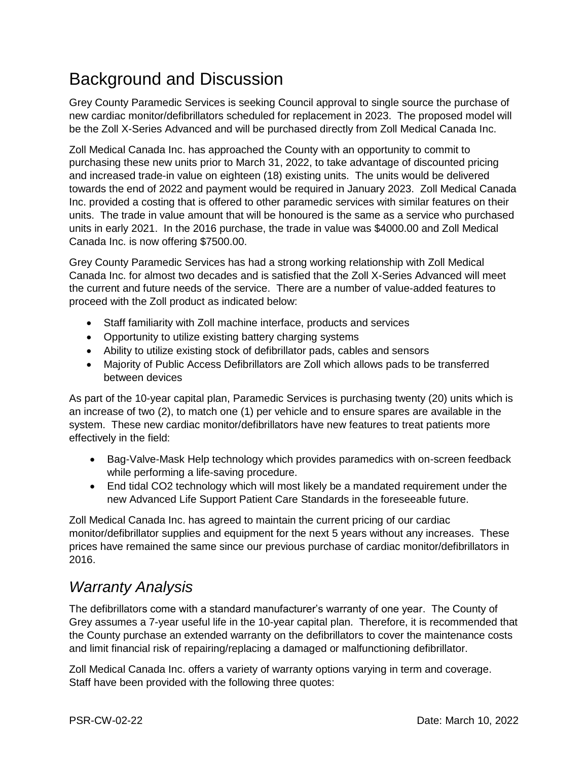### Background and Discussion

Grey County Paramedic Services is seeking Council approval to single source the purchase of new cardiac monitor/defibrillators scheduled for replacement in 2023. The proposed model will be the Zoll X-Series Advanced and will be purchased directly from Zoll Medical Canada Inc.

Zoll Medical Canada Inc. has approached the County with an opportunity to commit to purchasing these new units prior to March 31, 2022, to take advantage of discounted pricing and increased trade-in value on eighteen (18) existing units. The units would be delivered towards the end of 2022 and payment would be required in January 2023. Zoll Medical Canada Inc. provided a costing that is offered to other paramedic services with similar features on their units. The trade in value amount that will be honoured is the same as a service who purchased units in early 2021. In the 2016 purchase, the trade in value was \$4000.00 and Zoll Medical Canada Inc. is now offering \$7500.00.

Grey County Paramedic Services has had a strong working relationship with Zoll Medical Canada Inc. for almost two decades and is satisfied that the Zoll X-Series Advanced will meet the current and future needs of the service. There are a number of value-added features to proceed with the Zoll product as indicated below:

- Staff familiarity with Zoll machine interface, products and services
- Opportunity to utilize existing battery charging systems
- Ability to utilize existing stock of defibrillator pads, cables and sensors
- Majority of Public Access Defibrillators are Zoll which allows pads to be transferred between devices

As part of the 10-year capital plan, Paramedic Services is purchasing twenty (20) units which is an increase of two (2), to match one (1) per vehicle and to ensure spares are available in the system. These new cardiac monitor/defibrillators have new features to treat patients more effectively in the field:

- Bag-Valve-Mask Help technology which provides paramedics with on-screen feedback while performing a life-saving procedure.
- End tidal CO2 technology which will most likely be a mandated requirement under the new Advanced Life Support Patient Care Standards in the foreseeable future.

Zoll Medical Canada Inc. has agreed to maintain the current pricing of our cardiac monitor/defibrillator supplies and equipment for the next 5 years without any increases. These prices have remained the same since our previous purchase of cardiac monitor/defibrillators in 2016.

#### *Warranty Analysis*

The defibrillators come with a standard manufacturer's warranty of one year. The County of Grey assumes a 7-year useful life in the 10-year capital plan. Therefore, it is recommended that the County purchase an extended warranty on the defibrillators to cover the maintenance costs and limit financial risk of repairing/replacing a damaged or malfunctioning defibrillator.

Zoll Medical Canada Inc. offers a variety of warranty options varying in term and coverage. Staff have been provided with the following three quotes: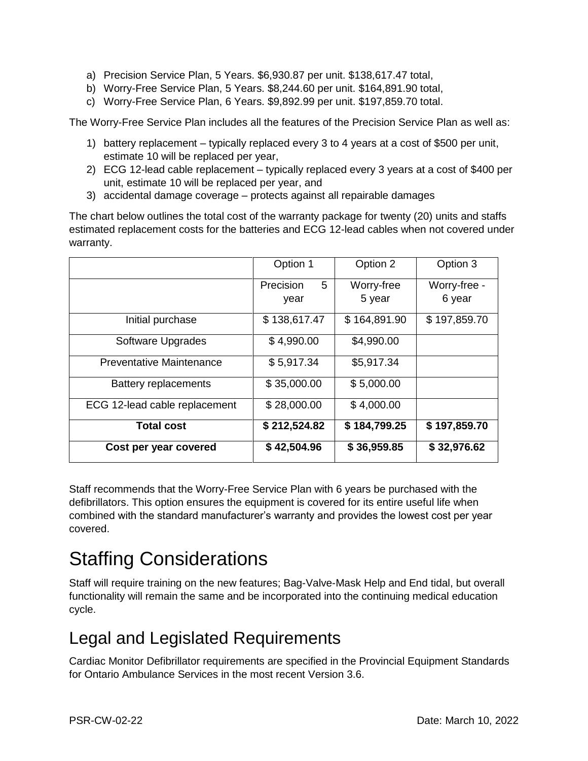- a) Precision Service Plan, 5 Years. \$6,930.87 per unit. \$138,617.47 total,
- b) Worry-Free Service Plan, 5 Years. \$8,244.60 per unit. \$164,891.90 total,
- c) Worry-Free Service Plan, 6 Years. \$9,892.99 per unit. \$197,859.70 total.

The Worry-Free Service Plan includes all the features of the Precision Service Plan as well as:

- 1) battery replacement typically replaced every 3 to 4 years at a cost of \$500 per unit, estimate 10 will be replaced per year,
- 2) ECG 12-lead cable replacement typically replaced every 3 years at a cost of \$400 per unit, estimate 10 will be replaced per year, and
- 3) accidental damage coverage protects against all repairable damages

The chart below outlines the total cost of the warranty package for twenty (20) units and staffs estimated replacement costs for the batteries and ECG 12-lead cables when not covered under warranty.

|                                 | Option 1       | Option 2     | Option 3     |
|---------------------------------|----------------|--------------|--------------|
|                                 | 5<br>Precision | Worry-free   | Worry-free - |
|                                 | year           | 5 year       | 6 year       |
| Initial purchase                | \$138,617.47   | \$164,891.90 | \$197,859.70 |
| Software Upgrades               | \$4,990.00     | \$4,990.00   |              |
| <b>Preventative Maintenance</b> | \$5,917.34     | \$5,917.34   |              |
| <b>Battery replacements</b>     | \$35,000.00    | \$5,000.00   |              |
| ECG 12-lead cable replacement   | \$28,000.00    | \$4,000.00   |              |
| <b>Total cost</b>               | \$212,524.82   | \$184,799.25 | \$197,859.70 |
| Cost per year covered           | \$42,504.96    | \$36,959.85  | \$32,976.62  |

Staff recommends that the Worry-Free Service Plan with 6 years be purchased with the defibrillators. This option ensures the equipment is covered for its entire useful life when combined with the standard manufacturer's warranty and provides the lowest cost per year covered.

# Staffing Considerations

Staff will require training on the new features; Bag-Valve-Mask Help and End tidal, but overall functionality will remain the same and be incorporated into the continuing medical education cycle.

### Legal and Legislated Requirements

Cardiac Monitor Defibrillator requirements are specified in the Provincial Equipment Standards for Ontario Ambulance Services in the most recent Version 3.6.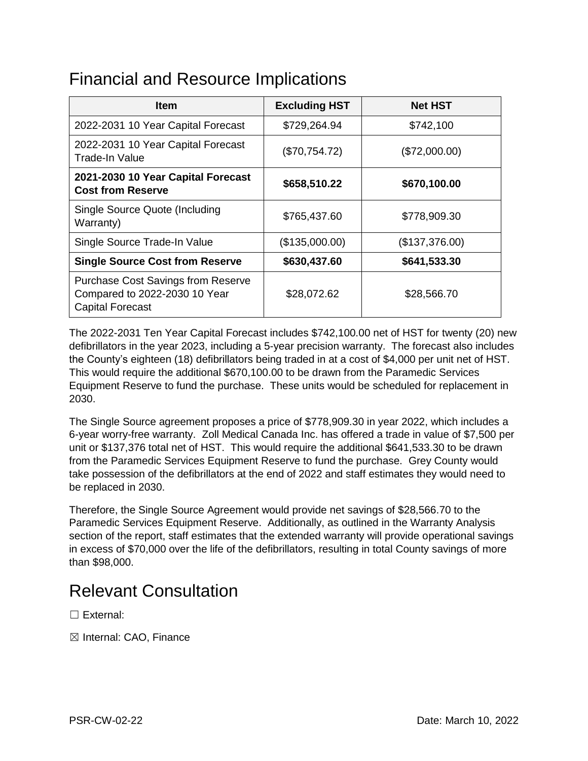### Financial and Resource Implications

| <b>Item</b>                                                                                           | <b>Excluding HST</b> | <b>Net HST</b> |
|-------------------------------------------------------------------------------------------------------|----------------------|----------------|
| 2022-2031 10 Year Capital Forecast                                                                    | \$729,264.94         | \$742,100      |
| 2022-2031 10 Year Capital Forecast<br><b>Trade-In Value</b>                                           | (\$70,754.72)        | (\$72,000.00)  |
| 2021-2030 10 Year Capital Forecast<br><b>Cost from Reserve</b>                                        | \$658,510.22         | \$670,100.00   |
| Single Source Quote (Including<br>Warranty)                                                           | \$765,437.60         | \$778,909.30   |
| Single Source Trade-In Value                                                                          | (\$135,000.00)       | (\$137,376.00) |
| <b>Single Source Cost from Reserve</b>                                                                | \$630,437.60         | \$641,533.30   |
| <b>Purchase Cost Savings from Reserve</b><br>Compared to 2022-2030 10 Year<br><b>Capital Forecast</b> | \$28,072.62          | \$28,566.70    |

The 2022-2031 Ten Year Capital Forecast includes \$742,100.00 net of HST for twenty (20) new defibrillators in the year 2023, including a 5-year precision warranty. The forecast also includes the County's eighteen (18) defibrillators being traded in at a cost of \$4,000 per unit net of HST. This would require the additional \$670,100.00 to be drawn from the Paramedic Services Equipment Reserve to fund the purchase. These units would be scheduled for replacement in 2030.

The Single Source agreement proposes a price of \$778,909.30 in year 2022, which includes a 6-year worry-free warranty. Zoll Medical Canada Inc. has offered a trade in value of \$7,500 per unit or \$137,376 total net of HST. This would require the additional \$641,533.30 to be drawn from the Paramedic Services Equipment Reserve to fund the purchase. Grey County would take possession of the defibrillators at the end of 2022 and staff estimates they would need to be replaced in 2030.

Therefore, the Single Source Agreement would provide net savings of \$28,566.70 to the Paramedic Services Equipment Reserve. Additionally, as outlined in the Warranty Analysis section of the report, staff estimates that the extended warranty will provide operational savings in excess of \$70,000 over the life of the defibrillators, resulting in total County savings of more than \$98,000.

### Relevant Consultation

☐ External:

☒ Internal: CAO, Finance